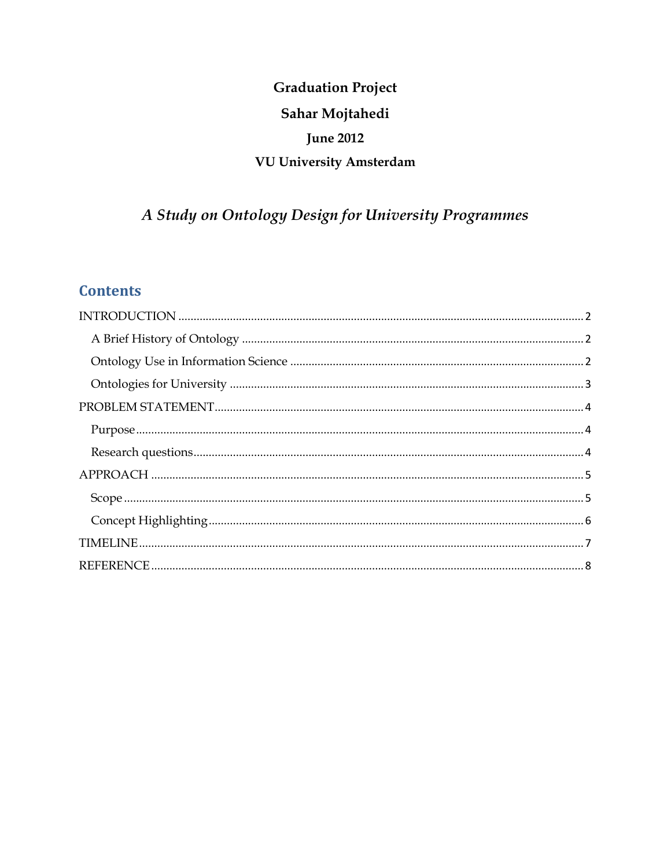# **Graduation Project** Sahar Mojtahedi **June 2012** VU University Amsterdam

# A Study on Ontology Design for University Programmes

# **Contents**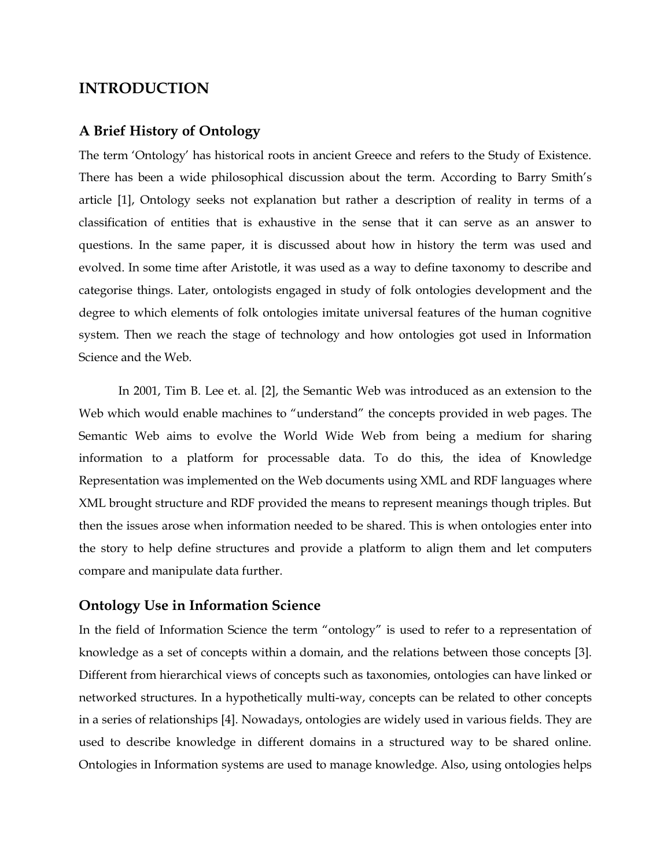## <span id="page-1-0"></span>**INTRODUCTION**

### <span id="page-1-1"></span>**A Brief History of Ontology**

The term 'Ontology' has historical roots in ancient Greece and refers to the Study of Existence. There has been a wide philosophical discussion about the term. According to Barry Smith's article [1], Ontology seeks not explanation but rather a description of reality in terms of a classification of entities that is exhaustive in the sense that it can serve as an answer to questions. In the same paper, it is discussed about how in history the term was used and evolved. In some time after Aristotle, it was used as a way to define taxonomy to describe and categorise things. Later, ontologists engaged in study of folk ontologies development and the degree to which elements of folk ontologies imitate universal features of the human cognitive system. Then we reach the stage of technology and how ontologies got used in Information Science and the Web.

In 2001, Tim B. Lee et. al. [2], the Semantic Web was introduced as an extension to the Web which would enable machines to "understand" the concepts provided in web pages. The Semantic Web aims to evolve the World Wide Web from being a medium for sharing information to a platform for processable data. To do this, the idea of Knowledge Representation was implemented on the Web documents using XML and RDF languages where XML brought structure and RDF provided the means to represent meanings though triples. But then the issues arose when information needed to be shared. This is when ontologies enter into the story to help define structures and provide a platform to align them and let computers compare and manipulate data further.

## <span id="page-1-2"></span>**Ontology Use in Information Science**

In the field of Information Science the term "ontology" is used to refer to a representation of knowledge as a set of concepts within a domain, and the relations between those concepts [3]. Different from hierarchical views of concepts such as taxonomies, ontologies can have linked or networked structures. In a hypothetically multi-way, concepts can be related to other concepts in a series of relationships [4]. Nowadays, ontologies are widely used in various fields. They are used to describe knowledge in different domains in a structured way to be shared online. Ontologies in Information systems are used to manage knowledge. Also, using ontologies helps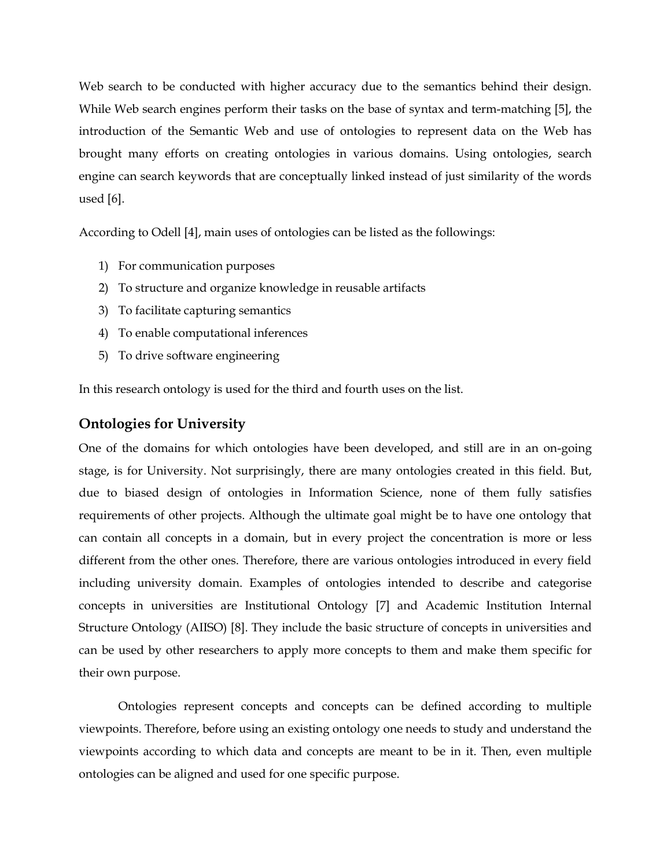Web search to be conducted with higher accuracy due to the semantics behind their design. While Web search engines perform their tasks on the base of syntax and term-matching [5], the introduction of the Semantic Web and use of ontologies to represent data on the Web has brought many efforts on creating ontologies in various domains. Using ontologies, search engine can search keywords that are conceptually linked instead of just similarity of the words used [6].

According to Odell [4], main uses of ontologies can be listed as the followings:

- 1) For communication purposes
- 2) To structure and organize knowledge in reusable artifacts
- 3) To facilitate capturing semantics
- 4) To enable computational inferences
- 5) To drive software engineering

In this research ontology is used for the third and fourth uses on the list.

## <span id="page-2-0"></span>**Ontologies for University**

One of the domains for which ontologies have been developed, and still are in an on-going stage, is for University. Not surprisingly, there are many ontologies created in this field. But, due to biased design of ontologies in Information Science, none of them fully satisfies requirements of other projects. Although the ultimate goal might be to have one ontology that can contain all concepts in a domain, but in every project the concentration is more or less different from the other ones. Therefore, there are various ontologies introduced in every field including university domain. Examples of ontologies intended to describe and categorise concepts in universities are Institutional Ontology [7] and Academic Institution Internal Structure Ontology (AIISO) [8]. They include the basic structure of concepts in universities and can be used by other researchers to apply more concepts to them and make them specific for their own purpose.

Ontologies represent concepts and concepts can be defined according to multiple viewpoints. Therefore, before using an existing ontology one needs to study and understand the viewpoints according to which data and concepts are meant to be in it. Then, even multiple ontologies can be aligned and used for one specific purpose.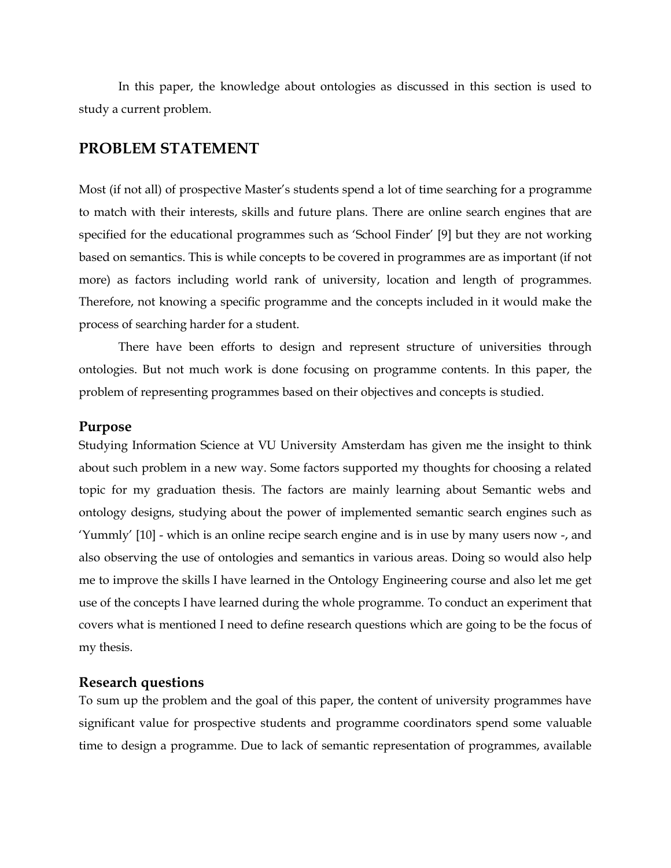In this paper, the knowledge about ontologies as discussed in this section is used to study a current problem.

## <span id="page-3-0"></span>**PROBLEM STATEMENT**

Most (if not all) of prospective Master's students spend a lot of time searching for a programme to match with their interests, skills and future plans. There are online search engines that are specified for the educational programmes such as 'School Finder' [9] but they are not working based on semantics. This is while concepts to be covered in programmes are as important (if not more) as factors including world rank of university, location and length of programmes. Therefore, not knowing a specific programme and the concepts included in it would make the process of searching harder for a student.

There have been efforts to design and represent structure of universities through ontologies. But not much work is done focusing on programme contents. In this paper, the problem of representing programmes based on their objectives and concepts is studied.

#### <span id="page-3-1"></span>**Purpose**

Studying Information Science at VU University Amsterdam has given me the insight to think about such problem in a new way. Some factors supported my thoughts for choosing a related topic for my graduation thesis. The factors are mainly learning about Semantic webs and ontology designs, studying about the power of implemented semantic search engines such as 'Yummly' [10] - which is an online recipe search engine and is in use by many users now -, and also observing the use of ontologies and semantics in various areas. Doing so would also help me to improve the skills I have learned in the Ontology Engineering course and also let me get use of the concepts I have learned during the whole programme. To conduct an experiment that covers what is mentioned I need to define research questions which are going to be the focus of my thesis.

#### <span id="page-3-2"></span>**Research questions**

To sum up the problem and the goal of this paper, the content of university programmes have significant value for prospective students and programme coordinators spend some valuable time to design a programme. Due to lack of semantic representation of programmes, available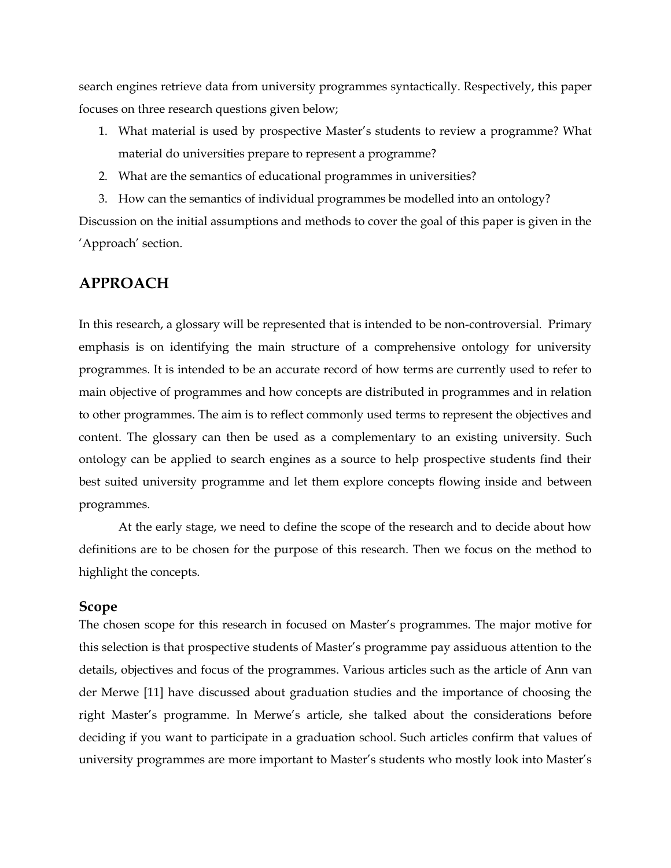search engines retrieve data from university programmes syntactically. Respectively, this paper focuses on three research questions given below;

- 1. What material is used by prospective Master's students to review a programme? What material do universities prepare to represent a programme?
- 2. What are the semantics of educational programmes in universities?
- 3. How can the semantics of individual programmes be modelled into an ontology?

Discussion on the initial assumptions and methods to cover the goal of this paper is given in the 'Approach' section.

## <span id="page-4-0"></span>**APPROACH**

In this research, a glossary will be represented that is intended to be non-controversial. Primary emphasis is on identifying the main structure of a comprehensive ontology for university programmes. It is intended to be an accurate record of how terms are currently used to refer to main objective of programmes and how concepts are distributed in programmes and in relation to other programmes. The aim is to reflect commonly used terms to represent the objectives and content. The glossary can then be used as a complementary to an existing university. Such ontology can be applied to search engines as a source to help prospective students find their best suited university programme and let them explore concepts flowing inside and between programmes.

At the early stage, we need to define the scope of the research and to decide about how definitions are to be chosen for the purpose of this research. Then we focus on the method to highlight the concepts.

## <span id="page-4-1"></span>**Scope**

The chosen scope for this research in focused on Master's programmes. The major motive for this selection is that prospective students of Master's programme pay assiduous attention to the details, objectives and focus of the programmes. Various articles such as the article of Ann van der Merwe [11] have discussed about graduation studies and the importance of choosing the right Master's programme. In Merwe's article, she talked about the considerations before deciding if you want to participate in a graduation school. Such articles confirm that values of university programmes are more important to Master's students who mostly look into Master's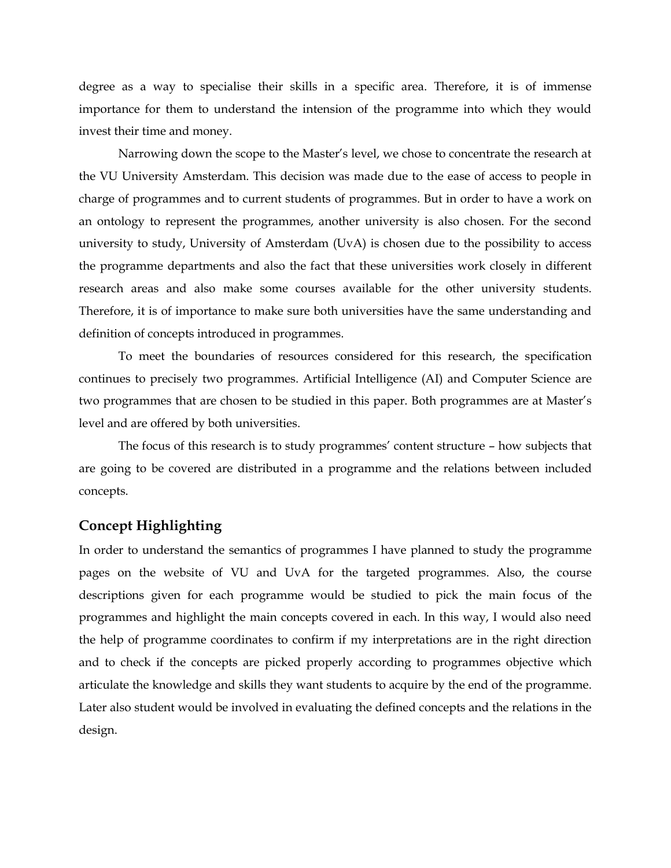degree as a way to specialise their skills in a specific area. Therefore, it is of immense importance for them to understand the intension of the programme into which they would invest their time and money.

Narrowing down the scope to the Master's level, we chose to concentrate the research at the VU University Amsterdam. This decision was made due to the ease of access to people in charge of programmes and to current students of programmes. But in order to have a work on an ontology to represent the programmes, another university is also chosen. For the second university to study, University of Amsterdam (UvA) is chosen due to the possibility to access the programme departments and also the fact that these universities work closely in different research areas and also make some courses available for the other university students. Therefore, it is of importance to make sure both universities have the same understanding and definition of concepts introduced in programmes.

To meet the boundaries of resources considered for this research, the specification continues to precisely two programmes. Artificial Intelligence (AI) and Computer Science are two programmes that are chosen to be studied in this paper. Both programmes are at Master's level and are offered by both universities.

The focus of this research is to study programmes' content structure – how subjects that are going to be covered are distributed in a programme and the relations between included concepts.

### <span id="page-5-0"></span>**Concept Highlighting**

In order to understand the semantics of programmes I have planned to study the programme pages on the website of VU and UvA for the targeted programmes. Also, the course descriptions given for each programme would be studied to pick the main focus of the programmes and highlight the main concepts covered in each. In this way, I would also need the help of programme coordinates to confirm if my interpretations are in the right direction and to check if the concepts are picked properly according to programmes objective which articulate the knowledge and skills they want students to acquire by the end of the programme. Later also student would be involved in evaluating the defined concepts and the relations in the design.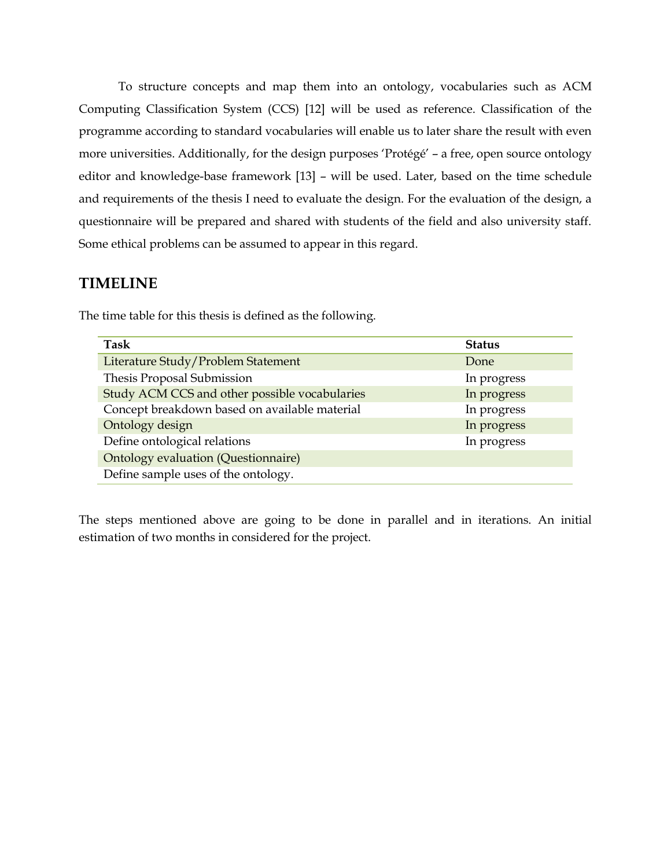To structure concepts and map them into an ontology, vocabularies such as ACM Computing Classification System (CCS) [12] will be used as reference. Classification of the programme according to standard vocabularies will enable us to later share the result with even more universities. Additionally, for the design purposes 'Protégé' – a free, open source ontology editor and knowledge-base framework [13] – will be used. Later, based on the time schedule and requirements of the thesis I need to evaluate the design. For the evaluation of the design, a questionnaire will be prepared and shared with students of the field and also university staff. Some ethical problems can be assumed to appear in this regard.

## <span id="page-6-0"></span>**TIMELINE**

| Task                                          | <b>Status</b> |
|-----------------------------------------------|---------------|
| Literature Study/Problem Statement            | Done          |
| Thesis Proposal Submission                    | In progress   |
| Study ACM CCS and other possible vocabularies | In progress   |
| Concept breakdown based on available material | In progress   |
| Ontology design                               | In progress   |
| Define ontological relations                  | In progress   |
| Ontology evaluation (Questionnaire)           |               |
| Define sample uses of the ontology.           |               |

The time table for this thesis is defined as the following.

The steps mentioned above are going to be done in parallel and in iterations. An initial estimation of two months in considered for the project.